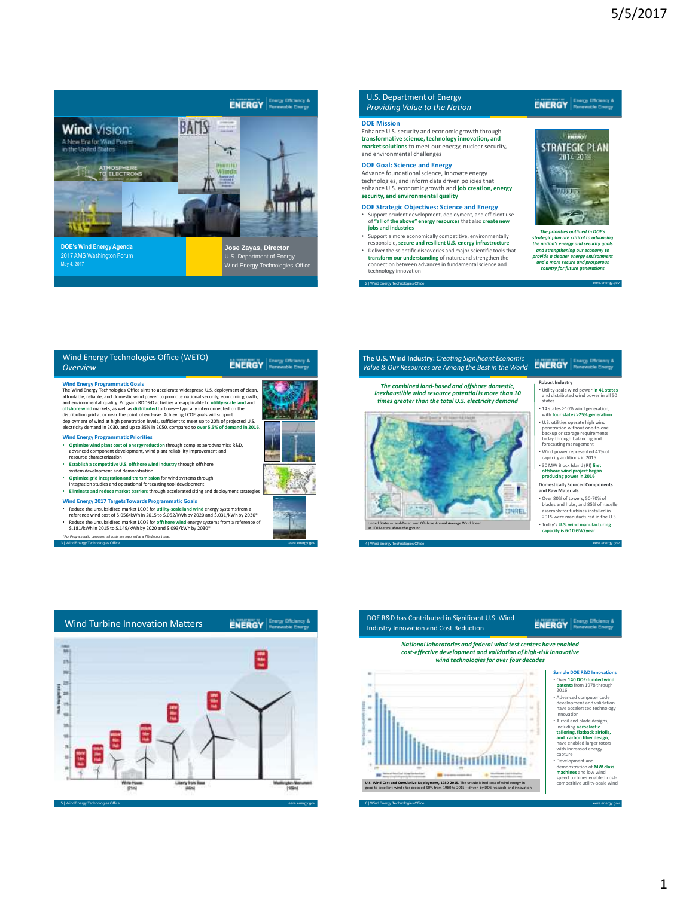

### U.S. Department of Energy *Providing Value to the Nation*

#### **DOE Mission**

Enhance U.S. security and economic growth through **transformative science, technology innovation, and market solutions** to meet our energy, nuclear security, and environmental challenges

**DOE Goal: Science and Energy** Advance foundational science, innovate energy technologies, and inform data driven policies that enhance U.S. economic growth and **job creation, energy security, and environmental quality**

- **DOE Strategic Objectives: Science and Energy**<br>
Support prudent development, deployment, and efficient use • Support prudent development, deployment, and efficient use of **"all of the above" energy resources** that also **create new jobs and industries**
- Support a more economically competitive, environmentally responsible, **secure and resilient U.S. energy infrastructure** • Deliver the scientific discoveries and major scientific tools that **transform our understanding** of nature and strengthen the connection between advances in fundamental science and

2 | Wind Energy Technologies Office eere.energy.gov technology innovation

## **ENERGY Energy Disclancy &**

# **CHER** STRATEGIC PLAN uun

The priorities outlined in DOE's<br>strategic plan are critical to advancing<br>the nation's energy and security goals<br>and strengthening our economy to<br>provide a cleaner energy environment<br>and a more secure and prosperous<br>count

| Wind Energy Technologies Office (WETO)<br><b>Overview</b>                                                                                                                                                                                                                                                                                                                                                                                                                                                                                                                                                                                                                                                              | Renewable Energy |
|------------------------------------------------------------------------------------------------------------------------------------------------------------------------------------------------------------------------------------------------------------------------------------------------------------------------------------------------------------------------------------------------------------------------------------------------------------------------------------------------------------------------------------------------------------------------------------------------------------------------------------------------------------------------------------------------------------------------|------------------|
| <b>Wind Energy Programmatic Goals</b><br>The Wind Energy Technologies Office aims to accelerate widespread U.S. deployment of clean,<br>affordable, reliable, and domestic wind power to promote national security, economic growth,<br>and environmental quality. Program RDD&D activities are applicable to utility-scale land and<br>offshore wind markets, as well as distributed turbines-typically interconnected on the<br>distribution grid at or near the point of end-use. Achieving LCOE goals will support<br>deployment of wind at high penetration levels, sufficient to meet up to 20% of projected U.S.<br>electricity demand in 2030, and up to 35% in 2050, compared to over 5.5% of demand in 2016. |                  |
| <b>Wind Energy Programmatic Priorities</b><br>Optimize wind plant cost of energy reduction through complex aerodynamics R&D,<br>advanced component development, wind plant reliability improvement and<br>resource characterization                                                                                                                                                                                                                                                                                                                                                                                                                                                                                    |                  |
| Establish a competitive U.S. offshore wind industry through offshore<br>system development and demonstration                                                                                                                                                                                                                                                                                                                                                                                                                                                                                                                                                                                                           |                  |
| Optimize grid integration and transmission for wind systems through<br>integration studies and operational forecasting tool development                                                                                                                                                                                                                                                                                                                                                                                                                                                                                                                                                                                |                  |
| Eliminate and reduce market barriers through accelerated siting and deployment strategies                                                                                                                                                                                                                                                                                                                                                                                                                                                                                                                                                                                                                              |                  |
| <b>Wind Energy 2017 Targets Towards Programmatic Goals</b><br>Reduce the unsubsidized market LCOE for utility-scale land wind energy systems from a<br>reference wind cost of \$.056/kWh in 2015 to \$.052/kWh by 2020 and \$.031/kWh by 2030*<br>Reduce the unsubsidized market LCOE for offshore wind energy systems from a reference of                                                                                                                                                                                                                                                                                                                                                                             |                  |

3 | Wind Energy Technologies Office eere.energy.gov

• Reduce the unsubsidized market LCOE for **offshore wind** energy systems from a reference of \$.181/kWh in 2015 to \$.149/kWh by 2020 and \$.093/kWh by 2030\* *\*For Programmatic purposes, all costs are reported at a 7% discount rate.*



4 | Wind Energy Technologies Office eere.energy.gov